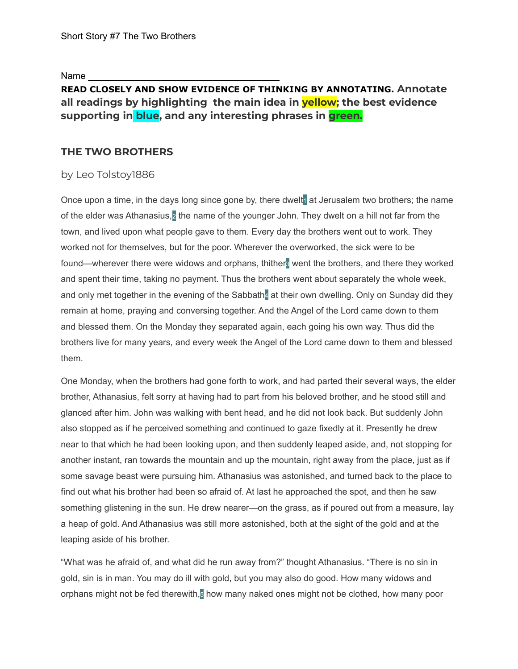Name

# **READ CLOSELY AND SHOW EVIDENCE OF THINKING BY ANNOTATING. Annotate all readings by highlighting the main idea in yellow; the best evidence supporting in blue, and any interesting phrases in green.**

## **THE TWO BROTHERS**

### by Leo Tolstoy1886

Once upon a time, in the days long since gone by, there dwelt<sup>1</sup> at Jerusalem two brothers; the name of the elder was Athanasius, $\frac{1}{2}$  the name of the younger John. They dwelt on a hill not far from the town, and lived upon what people gave to them. Every day the brothers went out to work. They worked not for themselves, but for the poor. Wherever the overworked, the sick were to be found—wherever there were widows and orphans, thithers went the brothers, and there they worked and spent their time, taking no payment. Thus the brothers went about separately the whole week, and only met together in the evening of the Sabbath. at their own dwelling. Only on Sunday did they remain at home, praying and conversing together. And the Angel of the Lord came down to them and blessed them. On the Monday they separated again, each going his own way. Thus did the brothers live for many years, and every week the Angel of the Lord came down to them and blessed them.

One Monday, when the brothers had gone forth to work, and had parted their several ways, the elder brother, Athanasius, felt sorry at having had to part from his beloved brother, and he stood still and glanced after him. John was walking with bent head, and he did not look back. But suddenly John also stopped as if he perceived something and continued to gaze fixedly at it. Presently he drew near to that which he had been looking upon, and then suddenly leaped aside, and, not stopping for another instant, ran towards the mountain and up the mountain, right away from the place, just as if some savage beast were pursuing him. Athanasius was astonished, and turned back to the place to find out what his brother had been so afraid of. At last he approached the spot, and then he saw something glistening in the sun. He drew nearer—on the grass, as if poured out from a measure, lay a heap of gold. And Athanasius was still more astonished, both at the sight of the gold and at the leaping aside of his brother.

"What was he afraid of, and what did he run away from?" thought Athanasius. "There is no sin in gold, sin is in man. You may do ill with gold, but you may also do good. How many widows and orphans might not be fed therewith,<sup>5</sup> how many naked ones might not be clothed, how many poor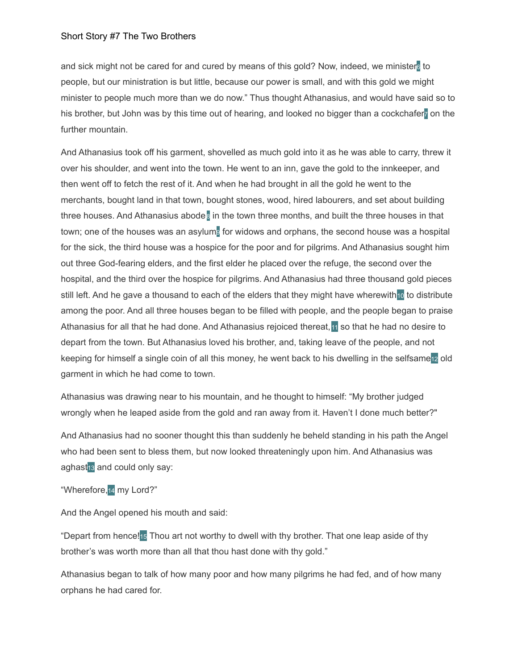#### Short Story #7 The Two Brothers

and sick might not be cared for and cured by means of this gold? Now, indeed, we ministers to people, but our ministration is but little, because our power is small, and with this gold we might minister to people much more than we do now." Thus thought Athanasius, and would have said so to his brother, but John was by this time out of hearing, and looked no bigger than a cockchafer<sub>7</sub> on the further mountain.

And Athanasius took off his garment, shovelled as much gold into it as he was able to carry, threw it over his shoulder, and went into the town. He went to an inn, gave the gold to the innkeeper, and then went off to fetch the rest of it. And when he had brought in all the gold he went to the merchants, bought land in that town, bought stones, wood, hired labourers, and set about building three houses. And Athanasius abode $\frac{1}{8}$  in the town three months, and built the three houses in that town; one of the houses was an asylum<sup>o</sup> for widows and orphans, the second house was a hospital for the sick, the third house was a hospice for the poor and for pilgrims. And Athanasius sought him out three God-fearing elders, and the first elder he placed over the refuge, the second over the hospital, and the third over the hospice for pilgrims. And Athanasius had three thousand gold pieces still left. And he gave a thousand to each of the elders that they might have wherewith<sup>10</sup> to distribute among the poor. And all three houses began to be filled with people, and the people began to praise Athanasius for all that he had done. And Athanasius rejoiced thereat, 11 so that he had no desire to depart from the town. But Athanasius loved his brother, and, taking leave of the people, and not keeping for himself a single coin of all this money, he went back to his dwelling in the selfsame<sup>12</sup> old garment in which he had come to town.

Athanasius was drawing near to his mountain, and he thought to himself: "My brother judged wrongly when he leaped aside from the gold and ran away from it. Haven't I done much better?"

And Athanasius had no sooner thought this than suddenly he beheld standing in his path the Angel who had been sent to bless them, but now looked threateningly upon him. And Athanasius was aghast<sub>13</sub> and could only say:

"Wherefore,14 my Lord?"

And the Angel opened his mouth and said:

"Depart from hence!15 Thou art not worthy to dwell with thy brother. That one leap aside of thy brother's was worth more than all that thou hast done with thy gold."

Athanasius began to talk of how many poor and how many pilgrims he had fed, and of how many orphans he had cared for.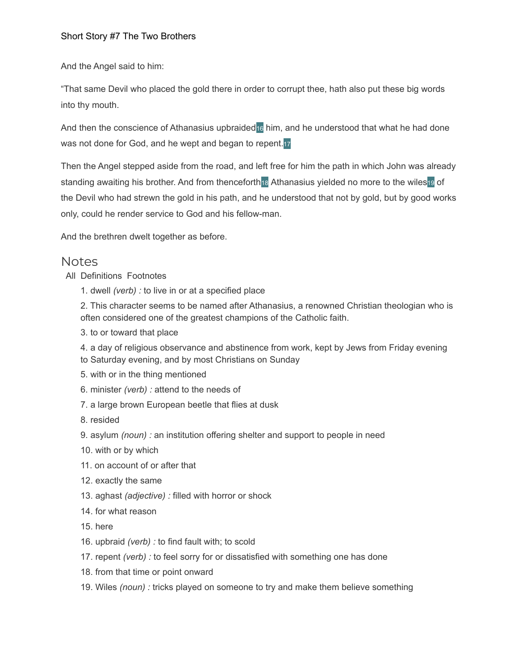## Short Story #7 The Two Brothers

And the Angel said to him:

"That same Devil who placed the gold there in order to corrupt thee, hath also put these big words into thy mouth.

And then the conscience of Athanasius upbraided<sub>16</sub> him, and he understood that what he had done was not done for God, and he wept and began to repent.<sup>17</sup>

Then the Angel stepped aside from the road, and left free for him the path in which John was already standing awaiting his brother. And from thenceforth<sub>18</sub> Athanasius yielded no more to the wiles<sup>19</sup> of the Devil who had strewn the gold in his path, and he understood that not by gold, but by good works only, could he render service to God and his fellow-man.

And the brethren dwelt together as before.

## **Notes**

All Definitions Footnotes

1. dwell *(verb) :* to live in or at a specified place

2. This character seems to be named after Athanasius, a renowned Christian theologian who is often considered one of the greatest champions of the Catholic faith.

- 3. to or toward that place
- 4. a day of religious observance and abstinence from work, kept by Jews from Friday evening to Saturday evening, and by most Christians on Sunday
- 5. with or in the thing mentioned
- 6. minister *(verb) :* attend to the needs of
- 7. a large brown European beetle that flies at dusk
- 8. resided
- 9. asylum *(noun) :* an institution offering shelter and support to people in need
- 10. with or by which
- 11. on account of or after that
- 12. exactly the same
- 13. aghast *(adjective) :* filled with horror or shock
- 14. for what reason
- 15. here
- 16. upbraid *(verb) :* to find fault with; to scold
- 17. repent *(verb) :* to feel sorry for or dissatisfied with something one has done
- 18. from that time or point onward
- 19. Wiles *(noun) :* tricks played on someone to try and make them believe something